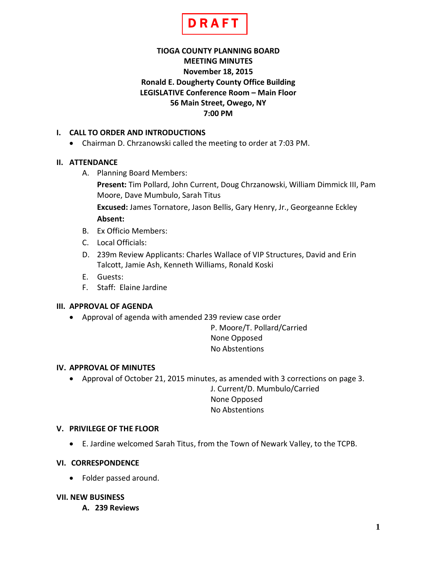

# **TIOGA COUNTY PLANNING BOARD MEETING MINUTES November 18, 2015 Ronald E. Dougherty County Office Building LEGISLATIVE Conference Room – Main Floor 56 Main Street, Owego, NY 7:00 PM**

## **I. CALL TO ORDER AND INTRODUCTIONS**

• Chairman D. Chrzanowski called the meeting to order at 7:03 PM.

## **II. ATTENDANCE**

A. Planning Board Members:

**Present:** Tim Pollard, John Current, Doug Chrzanowski, William Dimmick III, Pam Moore, Dave Mumbulo, Sarah Titus

**Excused:** James Tornatore, Jason Bellis, Gary Henry, Jr., Georgeanne Eckley **Absent:**

- B. Ex Officio Members:
- C. Local Officials:
- D. 239m Review Applicants: Charles Wallace of VIP Structures, David and Erin Talcott, Jamie Ash, Kenneth Williams, Ronald Koski
- E. Guests:
- F. Staff: Elaine Jardine

### **III. APPROVAL OF AGENDA**

• Approval of agenda with amended 239 review case order

P. Moore/T. Pollard/Carried None Opposed No Abstentions

### **IV. APPROVAL OF MINUTES**

• Approval of October 21, 2015 minutes, as amended with 3 corrections on page 3.

J. Current/D. Mumbulo/Carried None Opposed No Abstentions

### **V. PRIVILEGE OF THE FLOOR**

• E. Jardine welcomed Sarah Titus, from the Town of Newark Valley, to the TCPB.

### **VI. CORRESPONDENCE**

• Folder passed around.

### **VII. NEW BUSINESS**

**A. 239 Reviews**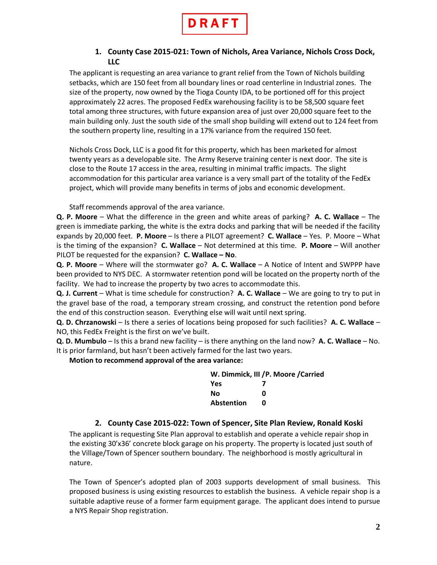

## **1. County Case 2015-021: Town of Nichols, Area Variance, Nichols Cross Dock, LLC**

The applicant is requesting an area variance to grant relief from the Town of Nichols building setbacks, which are 150 feet from all boundary lines or road centerline in Industrial zones. The size of the property, now owned by the Tioga County IDA, to be portioned off for this project approximately 22 acres. The proposed FedEx warehousing facility is to be 58,500 square feet total among three structures, with future expansion area of just over 20,000 square feet to the main building only. Just the south side of the small shop building will extend out to 124 feet from the southern property line, resulting in a 17% variance from the required 150 feet.

Nichols Cross Dock, LLC is a good fit for this property, which has been marketed for almost twenty years as a developable site. The Army Reserve training center is next door. The site is close to the Route 17 access in the area, resulting in minimal traffic impacts. The slight accommodation for this particular area variance is a very small part of the totality of the FedEx project, which will provide many benefits in terms of jobs and economic development.

Staff recommends approval of the area variance.

**Q. P. Moore** – What the difference in the green and white areas of parking? **A. C. Wallace** – The green is immediate parking, the white is the extra docks and parking that will be needed if the facility expands by 20,000 feet. **P. Moore** – Is there a PILOT agreement? **C. Wallace** – Yes. P. Moore – What is the timing of the expansion? **C. Wallace** – Not determined at this time. **P. Moore** – Will another PILOT be requested for the expansion? **C. Wallace – No**.

**Q. P. Moore** – Where will the stormwater go? **A. C. Wallace** – A Notice of Intent and SWPPP have been provided to NYS DEC. A stormwater retention pond will be located on the property north of the facility. We had to increase the property by two acres to accommodate this.

**Q. J. Current** – What is time schedule for construction? **A. C. Wallace** – We are going to try to put in the gravel base of the road, a temporary stream crossing, and construct the retention pond before the end of this construction season. Everything else will wait until next spring.

**Q. D. Chrzanowski** – Is there a series of locations being proposed for such facilities? **A. C. Wallace** – NO, this FedEx Freight is the first on we've built.

**Q. D. Mumbulo** – Is this a brand new facility – is there anything on the land now? **A. C. Wallace** – No. It is prior farmland, but hasn't been actively farmed for the last two years.

**Motion to recommend approval of the area variance:**

| W. Dimmick, III / P. Moore / Carried |   |  |
|--------------------------------------|---|--|
| <b>Yes</b>                           |   |  |
| No                                   | n |  |
| Abstention                           | n |  |

## **2. County Case 2015-022: Town of Spencer, Site Plan Review, Ronald Koski**

The applicant is requesting Site Plan approval to establish and operate a vehicle repair shop in the existing 30'x36' concrete block garage on his property. The property is located just south of the Village/Town of Spencer southern boundary. The neighborhood is mostly agricultural in nature.

The Town of Spencer's adopted plan of 2003 supports development of small business. This proposed business is using existing resources to establish the business. A vehicle repair shop is a suitable adaptive reuse of a former farm equipment garage. The applicant does intend to pursue a NYS Repair Shop registration.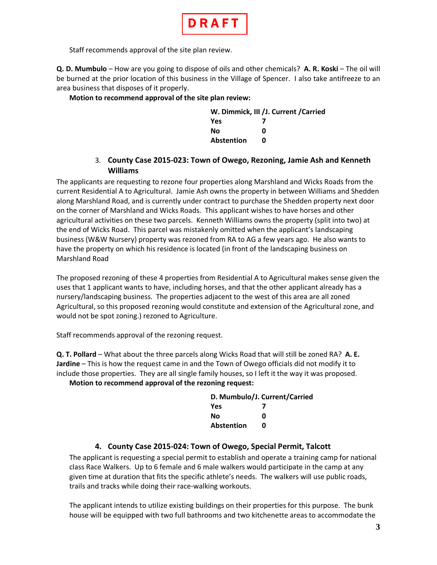

Staff recommends approval of the site plan review.

**Q. D. Mumbulo** – How are you going to dispose of oils and other chemicals? **A. R. Koski** – The oil will be burned at the prior location of this business in the Village of Spencer. I also take antifreeze to an area business that disposes of it properly.

#### **Motion to recommend approval of the site plan review:**

| W. Dimmick, III / J. Current / Carried |   |  |
|----------------------------------------|---|--|
| <b>Yes</b>                             |   |  |
| No                                     | n |  |
| Abstention                             | n |  |

### 3. **County Case 2015-023: Town of Owego, Rezoning, Jamie Ash and Kenneth Williams**

The applicants are requesting to rezone four properties along Marshland and Wicks Roads from the current Residential A to Agricultural. Jamie Ash owns the property in between Williams and Shedden along Marshland Road, and is currently under contract to purchase the Shedden property next door on the corner of Marshland and Wicks Roads. This applicant wishes to have horses and other agricultural activities on these two parcels. Kenneth Williams owns the property (split into two) at the end of Wicks Road. This parcel was mistakenly omitted when the applicant's landscaping business (W&W Nursery) property was rezoned from RA to AG a few years ago. He also wants to have the property on which his residence is located (in front of the landscaping business on Marshland Road

The proposed rezoning of these 4 properties from Residential A to Agricultural makes sense given the uses that 1 applicant wants to have, including horses, and that the other applicant already has a nursery/landscaping business. The properties adjacent to the west of this area are all zoned Agricultural, so this proposed rezoning would constitute and extension of the Agricultural zone, and would not be spot zoning.) rezoned to Agriculture.

Staff recommends approval of the rezoning request.

**Q. T. Pollard** – What about the three parcels along Wicks Road that will still be zoned RA? **A. E. Jardine** – This is how the request came in and the Town of Owego officials did not modify it to include those properties. They are all single family houses, so I left it the way it was proposed.

### **Motion to recommend approval of the rezoning request:**

| D. Mumbulo/J. Current/Carried |   |  |
|-------------------------------|---|--|
| <b>Yes</b>                    |   |  |
| Nο                            | n |  |
| Abstention                    | n |  |

## **4. County Case 2015-024: Town of Owego, Special Permit, Talcott**

The applicant is requesting a special permit to establish and operate a training camp for national class Race Walkers. Up to 6 female and 6 male walkers would participate in the camp at any given time at duration that fits the specific athlete's needs. The walkers will use public roads, trails and tracks while doing their race-walking workouts.

The applicant intends to utilize existing buildings on their properties for this purpose. The bunk house will be equipped with two full bathrooms and two kitchenette areas to accommodate the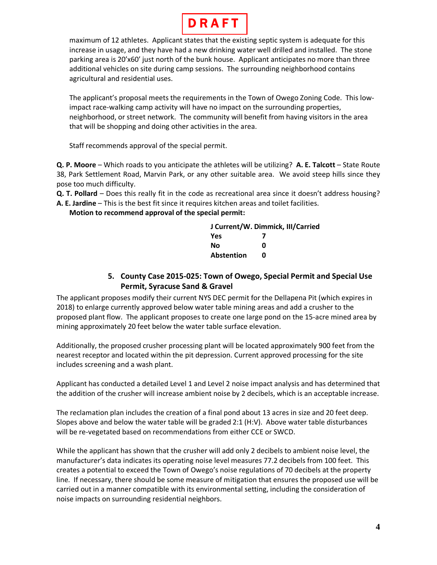

maximum of 12 athletes. Applicant states that the existing septic system is adequate for this increase in usage, and they have had a new drinking water well drilled and installed. The stone parking area is 20'x60' just north of the bunk house. Applicant anticipates no more than three additional vehicles on site during camp sessions. The surrounding neighborhood contains agricultural and residential uses.

The applicant's proposal meets the requirements in the Town of Owego Zoning Code. This lowimpact race-walking camp activity will have no impact on the surrounding properties, neighborhood, or street network. The community will benefit from having visitors in the area that will be shopping and doing other activities in the area.

Staff recommends approval of the special permit.

**Q. P. Moore** – Which roads to you anticipate the athletes will be utilizing? **A. E. Talcott** – State Route 38, Park Settlement Road, Marvin Park, or any other suitable area. We avoid steep hills since they pose too much difficulty.

- **Q. T. Pollard** Does this really fit in the code as recreational area since it doesn't address housing?
- **A. E. Jardine** This is the best fit since it requires kitchen areas and toilet facilities.

**Motion to recommend approval of the special permit:**

| J Current/W. Dimmick, III/Carried |   |  |
|-----------------------------------|---|--|
| <b>Yes</b>                        |   |  |
| Nο                                | ŋ |  |
| <b>Abstention</b>                 | n |  |

## **5. County Case 2015-025: Town of Owego, Special Permit and Special Use Permit, Syracuse Sand & Gravel**

The applicant proposes modify their current NYS DEC permit for the Dellapena Pit (which expires in 2018) to enlarge currently approved below water table mining areas and add a crusher to the proposed plant flow. The applicant proposes to create one large pond on the 15-acre mined area by mining approximately 20 feet below the water table surface elevation.

Additionally, the proposed crusher processing plant will be located approximately 900 feet from the nearest receptor and located within the pit depression. Current approved processing for the site includes screening and a wash plant.

Applicant has conducted a detailed Level 1 and Level 2 noise impact analysis and has determined that the addition of the crusher will increase ambient noise by 2 decibels, which is an acceptable increase.

The reclamation plan includes the creation of a final pond about 13 acres in size and 20 feet deep. Slopes above and below the water table will be graded 2:1 (H:V). Above water table disturbances will be re-vegetated based on recommendations from either CCE or SWCD.

While the applicant has shown that the crusher will add only 2 decibels to ambient noise level, the manufacturer's data indicates its operating noise level measures 77.2 decibels from 100 feet. This creates a potential to exceed the Town of Owego's noise regulations of 70 decibels at the property line. If necessary, there should be some measure of mitigation that ensures the proposed use will be carried out in a manner compatible with its environmental setting, including the consideration of noise impacts on surrounding residential neighbors.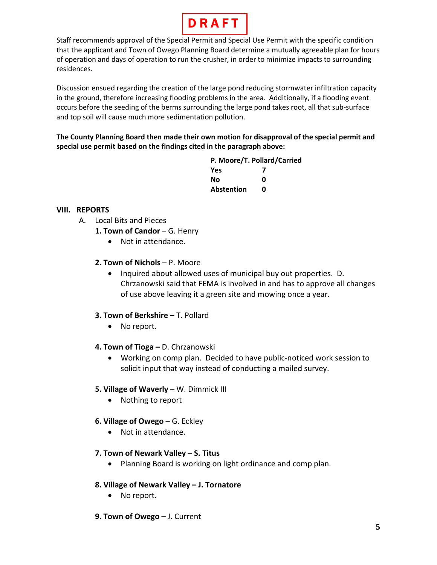

Staff recommends approval of the Special Permit and Special Use Permit with the specific condition that the applicant and Town of Owego Planning Board determine a mutually agreeable plan for hours of operation and days of operation to run the crusher, in order to minimize impacts to surrounding residences.

Discussion ensued regarding the creation of the large pond reducing stormwater infiltration capacity in the ground, therefore increasing flooding problems in the area. Additionally, if a flooding event occurs before the seeding of the berms surrounding the large pond takes root, all that sub-surface and top soil will cause much more sedimentation pollution.

**The County Planning Board then made their own motion for disapproval of the special permit and special use permit based on the findings cited in the paragraph above:**

> **P. Moore/T. Pollard/Carried Yes 7 No 0 Abstention 0**

## **VIII. REPORTS**

- A. Local Bits and Pieces
	- 1. Town of Candor G. Henry
		- Not in attendance.

### **2. Town of Nichols** – P. Moore

• Inquired about allowed uses of municipal buy out properties. D. Chrzanowski said that FEMA is involved in and has to approve all changes of use above leaving it a green site and mowing once a year.

### **3. Town of Berkshire - T. Pollard**

• No report.

### **4. Town of Tioga –** D. Chrzanowski

• Working on comp plan. Decided to have public-noticed work session to solicit input that way instead of conducting a mailed survey.

### **5. Village of Waverly** – W. Dimmick III

• Nothing to report

### **6. Village of Owego** – G. Eckley

• Not in attendance.

### **7. Town of Newark Valley** – **S. Titus**

• Planning Board is working on light ordinance and comp plan.

### **8. Village of Newark Valley – J. Tornatore**

- No report.
- **9. Town of Owego** J. Current